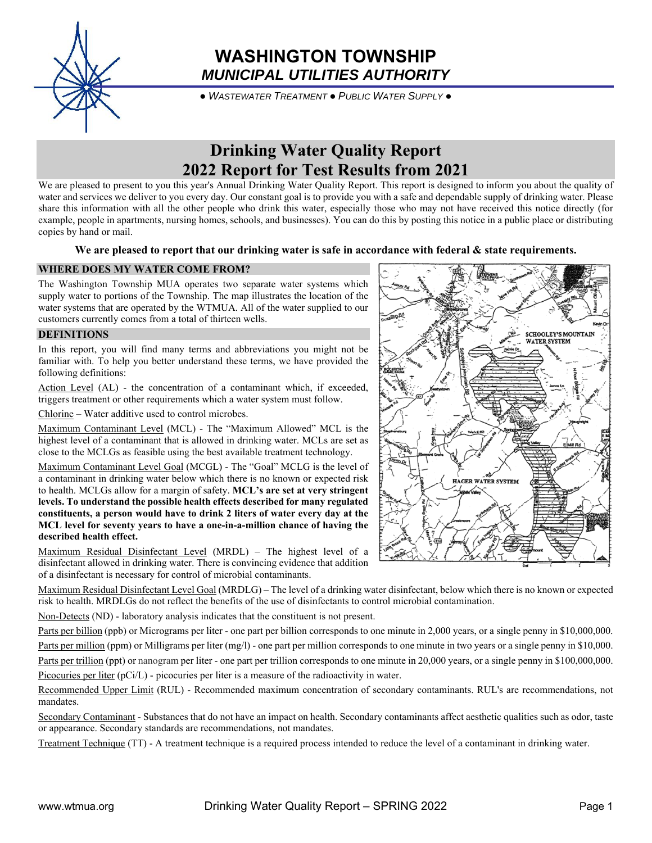

## **WASHINGTON TOWNSHIP** *MUNICIPAL UTILITIES AUTHORITY*

● *WASTEWATER TREATMENT* ● *PUBLIC WATER SUPPLY* ●

# **Drinking Water Quality Report 2022 Report for Test Results from 2021**

We are pleased to present to you this year's Annual Drinking Water Quality Report. This report is designed to inform you about the quality of water and services we deliver to you every day. Our constant goal is to provide you with a safe and dependable supply of drinking water. Please share this information with all the other people who drink this water, especially those who may not have received this notice directly (for example, people in apartments, nursing homes, schools, and businesses). You can do this by posting this notice in a public place or distributing copies by hand or mail.

## **We are pleased to report that our drinking water is safe in accordance with federal & state requirements.**

## **WHERE DOES MY WATER COME FROM?**

The Washington Township MUA operates two separate water systems which supply water to portions of the Township. The map illustrates the location of the water systems that are operated by the WTMUA. All of the water supplied to our customers currently comes from a total of thirteen wells.

## **DEFINITIONS**

In this report, you will find many terms and abbreviations you might not be familiar with. To help you better understand these terms, we have provided the following definitions:

Action Level (AL) - the concentration of a contaminant which, if exceeded, triggers treatment or other requirements which a water system must follow.

Chlorine – Water additive used to control microbes.

Maximum Contaminant Level (MCL) - The "Maximum Allowed" MCL is the highest level of a contaminant that is allowed in drinking water. MCLs are set as close to the MCLGs as feasible using the best available treatment technology.

Maximum Contaminant Level Goal (MCGL) - The "Goal" MCLG is the level of a contaminant in drinking water below which there is no known or expected risk to health. MCLGs allow for a margin of safety. **MCL's are set at very stringent levels. To understand the possible health effects described for many regulated constituents, a person would have to drink 2 liters of water every day at the MCL level for seventy years to have a one-in-a-million chance of having the described health effect.** 

Maximum Residual Disinfectant Level (MRDL) – The highest level of a disinfectant allowed in drinking water. There is convincing evidence that addition of a disinfectant is necessary for control of microbial contaminants.

Maximum Residual Disinfectant Level Goal (MRDLG) – The level of a drinking water disinfectant, below which there is no known or expected risk to health. MRDLGs do not reflect the benefits of the use of disinfectants to control microbial contamination.

Non-Detects (ND) - laboratory analysis indicates that the constituent is not present.

Parts per billion (ppb) or Micrograms per liter - one part per billion corresponds to one minute in 2,000 years, or a single penny in \$10,000,000.

Parts per million (ppm) or Milligrams per liter (mg/l) - one part per million corresponds to one minute in two years or a single penny in \$10,000. Parts per trillion (ppt) or nanogram per liter - one part per trillion corresponds to one minute in 20,000 years, or a single penny in \$100,000,000.

Picocuries per liter (pCi/L) - picocuries per liter is a measure of the radioactivity in water.

Recommended Upper Limit (RUL) - Recommended maximum concentration of secondary contaminants. RUL's are recommendations, not mandates.

Secondary Contaminant - Substances that do not have an impact on health. Secondary contaminants affect aesthetic qualities such as odor, taste or appearance. Secondary standards are recommendations, not mandates.

Treatment Technique (TT) - A treatment technique is a required process intended to reduce the level of a contaminant in drinking water.

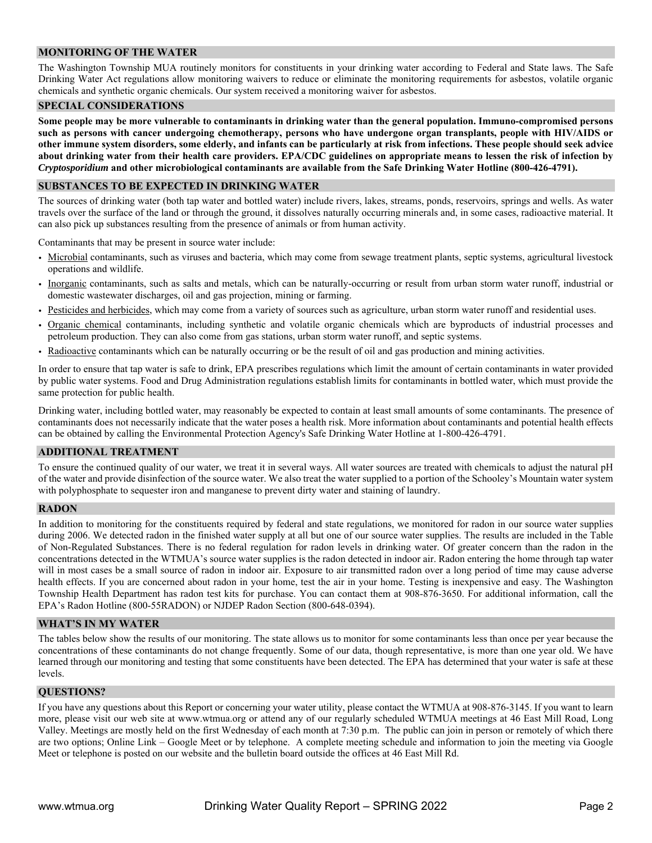## **MONITORING OF THE WATER**

The Washington Township MUA routinely monitors for constituents in your drinking water according to Federal and State laws. The Safe Drinking Water Act regulations allow monitoring waivers to reduce or eliminate the monitoring requirements for asbestos, volatile organic chemicals and synthetic organic chemicals. Our system received a monitoring waiver for asbestos.

#### **SPECIAL CONSIDERATIONS**

**Some people may be more vulnerable to contaminants in drinking water than the general population. Immuno-compromised persons such as persons with cancer undergoing chemotherapy, persons who have undergone organ transplants, people with HIV/AIDS or other immune system disorders, some elderly, and infants can be particularly at risk from infections. These people should seek advice about drinking water from their health care providers. EPA/CDC guidelines on appropriate means to lessen the risk of infection by**  *Cryptosporidium* **and other microbiological contaminants are available from the Safe Drinking Water Hotline (800-426-4791).** 

#### **SUBSTANCES TO BE EXPECTED IN DRINKING WATER**

The sources of drinking water (both tap water and bottled water) include rivers, lakes, streams, ponds, reservoirs, springs and wells. As water travels over the surface of the land or through the ground, it dissolves naturally occurring minerals and, in some cases, radioactive material. It can also pick up substances resulting from the presence of animals or from human activity.

Contaminants that may be present in source water include:

- Microbial contaminants, such as viruses and bacteria, which may come from sewage treatment plants, septic systems, agricultural livestock operations and wildlife.
- Inorganic contaminants, such as salts and metals, which can be naturally-occurring or result from urban storm water runoff, industrial or domestic wastewater discharges, oil and gas projection, mining or farming.
- Pesticides and herbicides, which may come from a variety of sources such as agriculture, urban storm water runoff and residential uses.
- Organic chemical contaminants, including synthetic and volatile organic chemicals which are byproducts of industrial processes and petroleum production. They can also come from gas stations, urban storm water runoff, and septic systems.
- Radioactive contaminants which can be naturally occurring or be the result of oil and gas production and mining activities.

In order to ensure that tap water is safe to drink, EPA prescribes regulations which limit the amount of certain contaminants in water provided by public water systems. Food and Drug Administration regulations establish limits for contaminants in bottled water, which must provide the same protection for public health.

Drinking water, including bottled water, may reasonably be expected to contain at least small amounts of some contaminants. The presence of contaminants does not necessarily indicate that the water poses a health risk. More information about contaminants and potential health effects can be obtained by calling the Environmental Protection Agency's Safe Drinking Water Hotline at 1-800-426-4791.

#### **ADDITIONAL TREATMENT**

To ensure the continued quality of our water, we treat it in several ways. All water sources are treated with chemicals to adjust the natural pH of the water and provide disinfection of the source water. We also treat the water supplied to a portion of the Schooley's Mountain water system with polyphosphate to sequester iron and manganese to prevent dirty water and staining of laundry.

#### **RADON**

In addition to monitoring for the constituents required by federal and state regulations, we monitored for radon in our source water supplies during 2006. We detected radon in the finished water supply at all but one of our source water supplies. The results are included in the Table of Non-Regulated Substances. There is no federal regulation for radon levels in drinking water. Of greater concern than the radon in the concentrations detected in the WTMUA's source water supplies is the radon detected in indoor air. Radon entering the home through tap water will in most cases be a small source of radon in indoor air. Exposure to air transmitted radon over a long period of time may cause adverse health effects. If you are concerned about radon in your home, test the air in your home. Testing is inexpensive and easy. The Washington Township Health Department has radon test kits for purchase. You can contact them at 908-876-3650. For additional information, call the EPA's Radon Hotline (800-55RADON) or NJDEP Radon Section (800-648-0394).

#### **WHAT'S IN MY WATER**

The tables below show the results of our monitoring. The state allows us to monitor for some contaminants less than once per year because the concentrations of these contaminants do not change frequently. Some of our data, though representative, is more than one year old. We have learned through our monitoring and testing that some constituents have been detected. The EPA has determined that your water is safe at these levels.

## **QUESTIONS?**

If you have any questions about this Report or concerning your water utility, please contact the WTMUA at 908-876-3145. If you want to learn more, please visit our web site at www.wtmua.org or attend any of our regularly scheduled WTMUA meetings at 46 East Mill Road, Long Valley. Meetings are mostly held on the first Wednesday of each month at 7:30 p.m. The public can join in person or remotely of which there are two options; Online Link – Google Meet or by telephone. A complete meeting schedule and information to join the meeting via Google Meet or telephone is posted on our website and the bulletin board outside the offices at 46 East Mill Rd.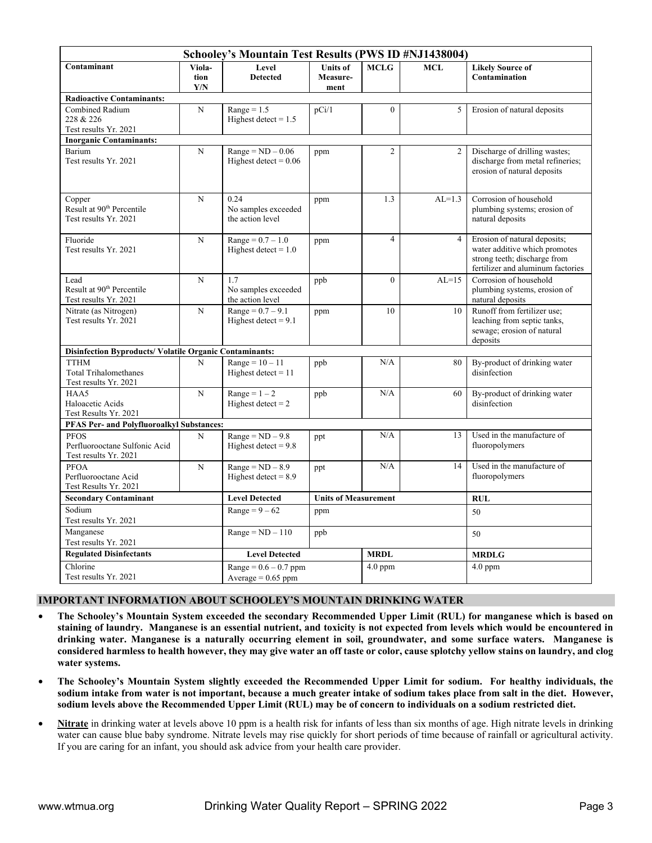|                                                                                         |                       | Schooley's Mountain Test Results (PWS ID #NJ1438004) |                                     |                |                |                                                                                                                                    |  |  |  |  |  |
|-----------------------------------------------------------------------------------------|-----------------------|------------------------------------------------------|-------------------------------------|----------------|----------------|------------------------------------------------------------------------------------------------------------------------------------|--|--|--|--|--|
| Contaminant                                                                             | Viola-<br>tion<br>Y/N | Level<br><b>Detected</b>                             | <b>Units of</b><br>Measure-<br>ment | <b>MCLG</b>    | MCL            | <b>Likely Source of</b><br>Contamination                                                                                           |  |  |  |  |  |
| <b>Radioactive Contaminants:</b>                                                        |                       |                                                      |                                     |                |                |                                                                                                                                    |  |  |  |  |  |
| Combined Radium<br>228 & 226<br>Test results Yr. 2021<br><b>Inorganic Contaminants:</b> | N                     | $Range = 1.5$<br>Highest detect = $1.5$              | pCi/1                               | $\Omega$       | 5              | Erosion of natural deposits                                                                                                        |  |  |  |  |  |
| Barium                                                                                  | N                     | $Range = ND - 0.06$                                  | ppm                                 | $\overline{2}$ | $\overline{2}$ | Discharge of drilling wastes;                                                                                                      |  |  |  |  |  |
| Test results Yr. 2021                                                                   |                       | Highest detect = $0.06$                              |                                     |                |                | discharge from metal refineries;<br>erosion of natural deposits                                                                    |  |  |  |  |  |
| Copper<br>Result at 90 <sup>th</sup> Percentile<br>Test results Yr. 2021                | N                     | 0.24<br>No samples exceeded<br>the action level      | ppm                                 | 1.3            | $AL=1.3$       | Corrosion of household<br>plumbing systems; erosion of<br>natural deposits                                                         |  |  |  |  |  |
| Fluoride<br>Test results Yr. 2021                                                       | $\overline{N}$        | $Range = 0.7 - 1.0$<br>Highest detect = $1.0$        | ppm                                 | $\overline{4}$ | $\overline{4}$ | Erosion of natural deposits;<br>water additive which promotes<br>strong teeth; discharge from<br>fertilizer and aluminum factories |  |  |  |  |  |
| Lead<br>Result at 90 <sup>th</sup> Percentile<br>Test results Yr. 2021                  | N                     | 1.7<br>No samples exceeded<br>the action level       | ppb                                 | $\mathbf{0}$   | $AL=15$        | Corrosion of household<br>plumbing systems, erosion of<br>natural deposits                                                         |  |  |  |  |  |
| Nitrate (as Nitrogen)<br>Test results Yr. 2021                                          | N                     | $Range = 0.7 - 9.1$<br>Highest detect $= 9.1$        | ppm                                 | 10             | 10             | Runoff from fertilizer use;<br>leaching from septic tanks,<br>sewage; erosion of natural<br>deposits                               |  |  |  |  |  |
| <b>Disinfection Byproducts/Volatile Organic Contaminants:</b>                           |                       |                                                      |                                     |                |                |                                                                                                                                    |  |  |  |  |  |
| <b>TTHM</b><br><b>Total Trihalomethanes</b><br>Test results Yr. 2021                    | N                     | $Range = 10 - 11$<br>Highest detect $= 11$           | ppb                                 | N/A            | 80             | By-product of drinking water<br>disinfection                                                                                       |  |  |  |  |  |
| HAA5<br>Haloacetic Acids<br>Test Results Yr. 2021                                       | N                     | $Range = 1 - 2$<br>Highest detect $= 2$              | ppb                                 | N/A            | 60             | By-product of drinking water<br>disinfection                                                                                       |  |  |  |  |  |
| <b>PFAS Per- and Polyfluoroalkyl Substances:</b>                                        |                       |                                                      |                                     |                |                |                                                                                                                                    |  |  |  |  |  |
| <b>PFOS</b><br>Perfluorooctane Sulfonic Acid<br>Test results Yr. 2021                   | N                     | $Range = ND - 9.8$<br>Highest detect = $9.8$         | ppt                                 | N/A            | 13             | Used in the manufacture of<br>fluoropolymers                                                                                       |  |  |  |  |  |
| PFOA<br>Perfluorooctane Acid<br>Test Results Yr. 2021                                   | N                     | $Range = ND - 8.9$<br>Highest detect = $8.9$         | ppt                                 | N/A            | 14             | Used in the manufacture of<br>fluoropolymers                                                                                       |  |  |  |  |  |
| <b>Secondary Contaminant</b>                                                            |                       | <b>Level Detected</b>                                | <b>Units of Measurement</b>         |                |                | <b>RUL</b>                                                                                                                         |  |  |  |  |  |
| Sodium<br>Test results Yr. 2021                                                         |                       | Range = $9-62$                                       | ppm                                 |                |                | 50                                                                                                                                 |  |  |  |  |  |
| Manganese<br>Test results Yr. 2021                                                      |                       | $Range = ND - 110$                                   | ppb                                 |                |                | 50                                                                                                                                 |  |  |  |  |  |
| <b>Regulated Disinfectants</b>                                                          |                       | <b>Level Detected</b>                                |                                     | <b>MRDL</b>    |                | <b>MRDLG</b>                                                                                                                       |  |  |  |  |  |
| Chlorine<br>Test results Yr. 2021                                                       |                       | $Range = 0.6 - 0.7$ ppm<br>Average = $0.65$ ppm      |                                     | $4.0$ ppm      |                | $4.0$ ppm                                                                                                                          |  |  |  |  |  |

## **IMPORTANT INFORMATION ABOUT SCHOOLEY'S MOUNTAIN DRINKING WATER**

- **The Schooley's Mountain System exceeded the secondary Recommended Upper Limit (RUL) for manganese which is based on staining of laundry. Manganese is an essential nutrient, and toxicity is not expected from levels which would be encountered in drinking water. Manganese is a naturally occurring element in soil, groundwater, and some surface waters. Manganese is considered harmless to health however, they may give water an off taste or color, cause splotchy yellow stains on laundry, and clog water systems.**
- **The Schooley's Mountain System slightly exceeded the Recommended Upper Limit for sodium. For healthy individuals, the sodium intake from water is not important, because a much greater intake of sodium takes place from salt in the diet. However, sodium levels above the Recommended Upper Limit (RUL) may be of concern to individuals on a sodium restricted diet.**
- **Nitrate** in drinking water at levels above 10 ppm is a health risk for infants of less than six months of age. High nitrate levels in drinking water can cause blue baby syndrome. Nitrate levels may rise quickly for short periods of time because of rainfall or agricultural activity. If you are caring for an infant, you should ask advice from your health care provider.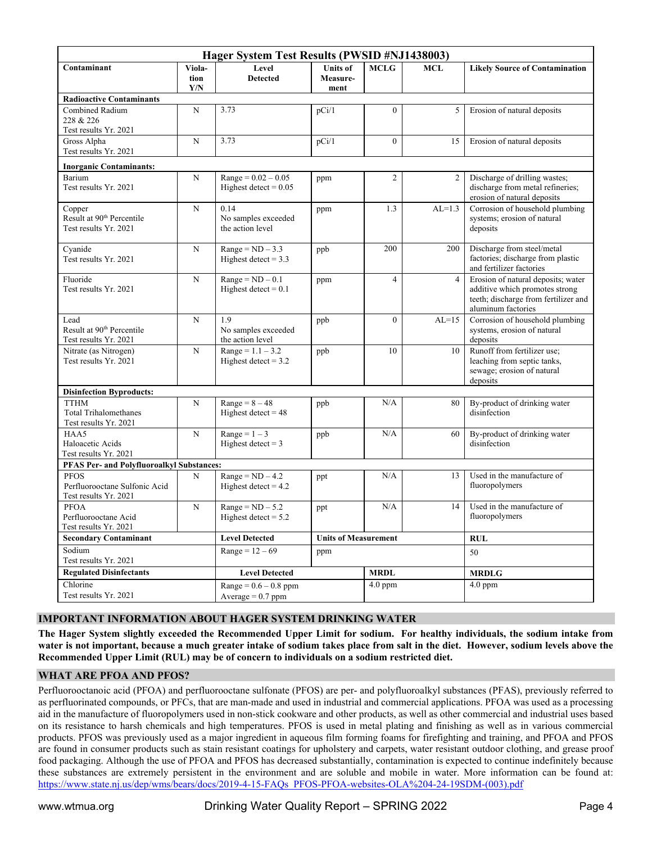|                                                                          |                       | Hager System Test Results (PWSID #NJ1438003)     |                                     |                |                |                                                                                                                                    |  |  |  |  |  |
|--------------------------------------------------------------------------|-----------------------|--------------------------------------------------|-------------------------------------|----------------|----------------|------------------------------------------------------------------------------------------------------------------------------------|--|--|--|--|--|
| Contaminant                                                              | Viola-<br>tion<br>Y/N | Level<br><b>Detected</b>                         | <b>Units of</b><br>Measure-<br>ment | <b>MCLG</b>    | MCL            | <b>Likely Source of Contamination</b>                                                                                              |  |  |  |  |  |
| <b>Radioactive Contaminants</b>                                          |                       |                                                  |                                     |                |                |                                                                                                                                    |  |  |  |  |  |
| Combined Radium<br>228 & 226<br>Test results Yr. 2021                    | $\mathbf N$           | 3.73                                             | pCi/1                               | 0              | 5              | Erosion of natural deposits                                                                                                        |  |  |  |  |  |
| Gross Alpha<br>Test results Yr. 2021                                     | $\mathbf N$           | 3.73                                             | pCi/1                               | $\overline{0}$ | 15             | Erosion of natural deposits                                                                                                        |  |  |  |  |  |
| <b>Inorganic Contaminants:</b>                                           |                       |                                                  |                                     |                |                |                                                                                                                                    |  |  |  |  |  |
| Barium<br>Test results Yr. 2021                                          | N                     | $Range = 0.02 - 0.05$<br>Highest detect = $0.05$ | ppm                                 | $\overline{c}$ | 2              | Discharge of drilling wastes;<br>discharge from metal refineries;<br>erosion of natural deposits                                   |  |  |  |  |  |
| Copper<br>Result at 90 <sup>th</sup> Percentile<br>Test results Yr. 2021 | $\mathbf N$           | 0.14<br>No samples exceeded<br>the action level  | ppm                                 | 1.3            | $AL=1.3$       | Corrosion of household plumbing<br>systems; erosion of natural<br>deposits                                                         |  |  |  |  |  |
| Cyanide<br>Test results Yr. 2021                                         | $\mathbf N$           | $Range = ND - 3.3$<br>Highest detect = $3.3$     | ppb                                 | 200            | 200            | Discharge from steel/metal<br>factories; discharge from plastic<br>and fertilizer factories                                        |  |  |  |  |  |
| Fluoride<br>Test results Yr. 2021                                        | $\mathbf N$           | $Range = ND - 0.1$<br>Highest detect = $0.1$     | ppm                                 | $\overline{4}$ | $\overline{4}$ | Erosion of natural deposits; water<br>additive which promotes strong<br>teeth; discharge from fertilizer and<br>aluminum factories |  |  |  |  |  |
| Lead<br>Result at 90 <sup>th</sup> Percentile<br>Test results Yr. 2021   | $\mathbf N$           | 1.9<br>No samples exceeded<br>the action level   | ppb                                 | $\Omega$       | $AL=15$        | Corrosion of household plumbing<br>systems, erosion of natural<br>deposits                                                         |  |  |  |  |  |
| Nitrate (as Nitrogen)<br>Test results Yr. 2021                           | N                     | $Range = 1.1 - 3.2$<br>Highest detect = $3.2$    | ppb                                 | 10             | 10             | Runoff from fertilizer use;<br>leaching from septic tanks,<br>sewage; erosion of natural<br>deposits                               |  |  |  |  |  |
| <b>Disinfection Byproducts:</b>                                          |                       |                                                  |                                     |                |                |                                                                                                                                    |  |  |  |  |  |
| <b>TTHM</b><br><b>Total Trihalomethanes</b><br>Test results Yr. 2021     | $\mathbf N$           | $Range = 8 - 48$<br>Highest detect = $48$        | ppb                                 | N/A            | 80             | By-product of drinking water<br>disinfection                                                                                       |  |  |  |  |  |
| HAA5<br>Haloacetic Acids<br>Test results Yr. 2021                        | $\mathbf N$           | $Range = 1 - 3$<br>Highest detect = $3$          | ppb                                 | N/A            | 60             | By-product of drinking water<br>disinfection                                                                                       |  |  |  |  |  |
| <b>PFAS Per- and Polyfluoroalkyl Substances:</b>                         |                       |                                                  |                                     |                |                |                                                                                                                                    |  |  |  |  |  |
| <b>PFOS</b><br>Perfluorooctane Sulfonic Acid<br>Test results Yr. 2021    | N                     | $Range = ND - 4.2$<br>Highest detect = $4.2$     | ppt                                 | N/A            | 13             | Used in the manufacture of<br>fluoropolymers                                                                                       |  |  |  |  |  |
| <b>PFOA</b><br>Perfluorooctane Acid<br>Test results Yr. 2021             | N                     | $Range = ND - 5.2$<br>Highest detect = $5.2$     | ppt                                 | N/A            | 14             | Used in the manufacture of<br>fluoropolymers                                                                                       |  |  |  |  |  |
| <b>Secondary Contaminant</b>                                             |                       | <b>Level Detected</b>                            | <b>Units of Measurement</b>         |                |                | <b>RUL</b>                                                                                                                         |  |  |  |  |  |
| Sodium<br>Test results Yr. 2021                                          |                       | $Range = 12 - 69$                                | ppm                                 |                |                | 50                                                                                                                                 |  |  |  |  |  |
| <b>Regulated Disinfectants</b>                                           |                       | <b>Level Detected</b>                            |                                     | <b>MRDL</b>    |                | <b>MRDLG</b>                                                                                                                       |  |  |  |  |  |
| Chlorine<br>Test results Yr. 2021                                        |                       | $Range = 0.6 - 0.8$ ppm<br>Average = $0.7$ ppm   |                                     | $4.0$ ppm      |                | $4.0$ ppm                                                                                                                          |  |  |  |  |  |

## **IMPORTANT INFORMATION ABOUT HAGER SYSTEM DRINKING WATER**

**The Hager System slightly exceeded the Recommended Upper Limit for sodium. For healthy individuals, the sodium intake from water is not important, because a much greater intake of sodium takes place from salt in the diet. However, sodium levels above the Recommended Upper Limit (RUL) may be of concern to individuals on a sodium restricted diet.**

#### **WHAT ARE PFOA AND PFOS?**

Perfluorooctanoic acid (PFOA) and perfluorooctane sulfonate (PFOS) are per- and polyfluoroalkyl substances (PFAS), previously referred to as perfluorinated compounds, or PFCs, that are man-made and used in industrial and commercial applications. PFOA was used as a processing aid in the manufacture of fluoropolymers used in non-stick cookware and other products, as well as other commercial and industrial uses based on its resistance to harsh chemicals and high temperatures. PFOS is used in metal plating and finishing as well as in various commercial products. PFOS was previously used as a major ingredient in aqueous film forming foams for firefighting and training, and PFOA and PFOS are found in consumer products such as stain resistant coatings for upholstery and carpets, water resistant outdoor clothing, and grease proof food packaging. Although the use of PFOA and PFOS has decreased substantially, contamination is expected to continue indefinitely because these substances are extremely persistent in the environment and are soluble and mobile in water. More information can be found at: https://www.state.nj.us/dep/wms/bears/docs/2019-4-15-FAQs\_PFOS-PFOA-websites-OLA%204-24-19SDM-(003).pdf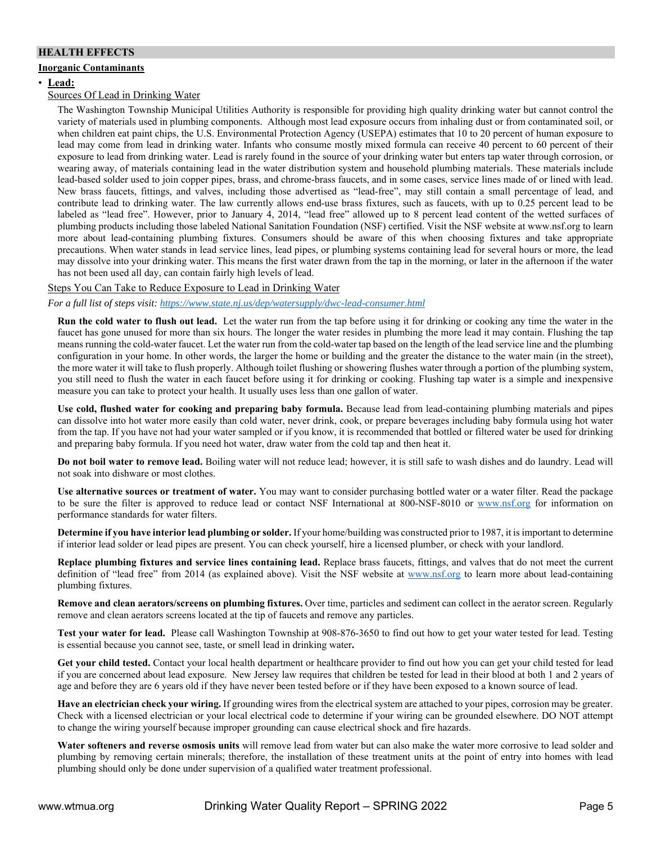## **HEALTH EFFECTS**

## **Inorganic Contaminants**

#### • **Lead:**

#### Sources Of Lead in Drinking Water

The Washington Township Municipal Utilities Authority is responsible for providing high quality drinking water but cannot control the variety of materials used in plumbing components. Although most lead exposure occurs from inhaling dust or from contaminated soil, or when children eat paint chips, the U.S. Environmental Protection Agency (USEPA) estimates that 10 to 20 percent of human exposure to lead may come from lead in drinking water. Infants who consume mostly mixed formula can receive 40 percent to 60 percent of their exposure to lead from drinking water. Lead is rarely found in the source of your drinking water but enters tap water through corrosion, or wearing away, of materials containing lead in the water distribution system and household plumbing materials. These materials include lead-based solder used to join copper pipes, brass, and chrome-brass faucets, and in some cases, service lines made of or lined with lead. New brass faucets, fittings, and valves, including those advertised as "lead-free", may still contain a small percentage of lead, and contribute lead to drinking water. The law currently allows end-use brass fixtures, such as faucets, with up to 0.25 percent lead to be labeled as "lead free". However, prior to January 4, 2014, "lead free" allowed up to 8 percent lead content of the wetted surfaces of plumbing products including those labeled National Sanitation Foundation (NSF) certified. Visit the NSF website at www.nsf.org to learn more about lead-containing plumbing fixtures. Consumers should be aware of this when choosing fixtures and take appropriate precautions. When water stands in lead service lines, lead pipes, or plumbing systems containing lead for several hours or more, the lead may dissolve into your drinking water. This means the first water drawn from the tap in the morning, or later in the afternoon if the water has not been used all day, can contain fairly high levels of lead.

## Steps You Can Take to Reduce Exposure to Lead in Drinking Water

*For a full list of steps visit: https://www.state.nj.us/dep/watersupply/dwc-lead-consumer.html*

**Run the cold water to flush out lead.** Let the water run from the tap before using it for drinking or cooking any time the water in the faucet has gone unused for more than six hours. The longer the water resides in plumbing the more lead it may contain. Flushing the tap means running the cold-water faucet. Let the water run from the cold-water tap based on the length of the lead service line and the plumbing configuration in your home. In other words, the larger the home or building and the greater the distance to the water main (in the street), the more water it will take to flush properly. Although toilet flushing or showering flushes water through a portion of the plumbing system, you still need to flush the water in each faucet before using it for drinking or cooking. Flushing tap water is a simple and inexpensive measure you can take to protect your health. It usually uses less than one gallon of water.

**Use cold, flushed water for cooking and preparing baby formula.** Because lead from lead-containing plumbing materials and pipes can dissolve into hot water more easily than cold water, never drink, cook, or prepare beverages including baby formula using hot water from the tap. If you have not had your water sampled or if you know, it is recommended that bottled or filtered water be used for drinking and preparing baby formula. If you need hot water, draw water from the cold tap and then heat it.

**Do not boil water to remove lead.** Boiling water will not reduce lead; however, it is still safe to wash dishes and do laundry. Lead will not soak into dishware or most clothes.

**Use alternative sources or treatment of water.** You may want to consider purchasing bottled water or a water filter. Read the package to be sure the filter is approved to reduce lead or contact NSF International at 800-NSF-8010 or www.nsf.org for information on performance standards for water filters.

**Determine if you have interior lead plumbing or solder.** If your home/building was constructed prior to 1987, it is important to determine if interior lead solder or lead pipes are present. You can check yourself, hire a licensed plumber, or check with your landlord.

**Replace plumbing fixtures and service lines containing lead.** Replace brass faucets, fittings, and valves that do not meet the current definition of "lead free" from 2014 (as explained above). Visit the NSF website at www.nsf.org to learn more about lead-containing plumbing fixtures.

**Remove and clean aerators/screens on plumbing fixtures.** Over time, particles and sediment can collect in the aerator screen. Regularly remove and clean aerators screens located at the tip of faucets and remove any particles.

**Test your water for lead.** Please call Washington Township at 908-876-3650 to find out how to get your water tested for lead. Testing is essential because you cannot see, taste, or smell lead in drinking water**.** 

**Get your child tested.** Contact your local health department or healthcare provider to find out how you can get your child tested for lead if you are concerned about lead exposure. New Jersey law requires that children be tested for lead in their blood at both 1 and 2 years of age and before they are 6 years old if they have never been tested before or if they have been exposed to a known source of lead.

**Have an electrician check your wiring.** If grounding wires from the electrical system are attached to your pipes, corrosion may be greater. Check with a licensed electrician or your local electrical code to determine if your wiring can be grounded elsewhere. DO NOT attempt to change the wiring yourself because improper grounding can cause electrical shock and fire hazards.

**Water softeners and reverse osmosis units** will remove lead from water but can also make the water more corrosive to lead solder and plumbing by removing certain minerals; therefore, the installation of these treatment units at the point of entry into homes with lead plumbing should only be done under supervision of a qualified water treatment professional.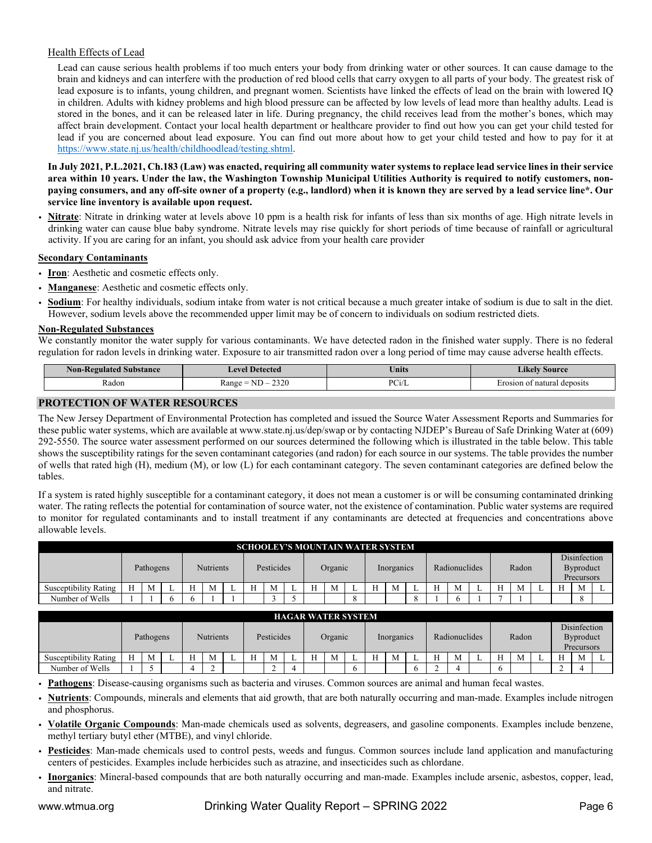## Health Effects of Lead

Lead can cause serious health problems if too much enters your body from drinking water or other sources. It can cause damage to the brain and kidneys and can interfere with the production of red blood cells that carry oxygen to all parts of your body. The greatest risk of lead exposure is to infants, young children, and pregnant women. Scientists have linked the effects of lead on the brain with lowered IQ in children. Adults with kidney problems and high blood pressure can be affected by low levels of lead more than healthy adults. Lead is stored in the bones, and it can be released later in life. During pregnancy, the child receives lead from the mother's bones, which may affect brain development. Contact your local health department or healthcare provider to find out how you can get your child tested for lead if you are concerned about lead exposure. You can find out more about how to get your child tested and how to pay for it at https://www.state.nj.us/health/childhoodlead/testing.shtml.

**In July 2021, P.L.2021, Ch.183 (Law) was enacted, requiring all community water systems to replace lead service lines in their service area within 10 years. Under the law, the Washington Township Municipal Utilities Authority is required to notify customers, nonpaying consumers, and any off-site owner of a property (e.g., landlord) when it is known they are served by a lead service line\*. Our service line inventory is available upon request.** 

• **Nitrate**: Nitrate in drinking water at levels above 10 ppm is a health risk for infants of less than six months of age. High nitrate levels in drinking water can cause blue baby syndrome. Nitrate levels may rise quickly for short periods of time because of rainfall or agricultural activity. If you are caring for an infant, you should ask advice from your health care provider

## **Secondary Contaminants**

- **Iron**: Aesthetic and cosmetic effects only.
- **Manganese**: Aesthetic and cosmetic effects only.
- **Sodium**: For healthy individuals, sodium intake from water is not critical because a much greater intake of sodium is due to salt in the diet. However, sodium levels above the recommended upper limit may be of concern to individuals on sodium restricted diets.

#### **Non-Regulated Substances**

We constantly monitor the water supply for various contaminants. We have detected radon in the finished water supply. There is no federal regulation for radon levels in drinking water. Exposure to air transmitted radon over a long period of time may cause adverse health effects.

| <b>Non-Regulated Substance</b> | <b>Level Detected</b> | Units | <b>Likely Source</b> |  |  |  |  |  |
|--------------------------------|-----------------------|-------|----------------------|--|--|--|--|--|
| Radon                          | 2320                  | DC:H  | t natural deposits   |  |  |  |  |  |
|                                | $Range = ND -$ .      | ∽∪l/L | trosion of           |  |  |  |  |  |

## **PROTECTION OF WATER RESOURCES**

The New Jersey Department of Environmental Protection has completed and issued the Source Water Assessment Reports and Summaries for these public water systems, which are available at www.state.nj.us/dep/swap or by contacting NJDEP's Bureau of Safe Drinking Water at (609) 292-5550. The source water assessment performed on our sources determined the following which is illustrated in the table below. This table shows the susceptibility ratings for the seven contaminant categories (and radon) for each source in our systems. The table provides the number of wells that rated high (H), medium (M), or low (L) for each contaminant category. The seven contaminant categories are defined below the tables.

If a system is rated highly susceptible for a contaminant category, it does not mean a customer is or will be consuming contaminated drinking water. The rating reflects the potential for contamination of source water, not the existence of contamination. Public water systems are required to monitor for regulated contaminants and to install treatment if any contaminants are detected at frequencies and concentrations above allowable levels.

|                       | <b>SCHOOLEY'S MOUNTAIN WATER SYSTEM</b> |                               |  |            |   |         |  |   |            |  |   |               |   |   |       |   |   |                                         |   |   |  |    |    |  |
|-----------------------|-----------------------------------------|-------------------------------|--|------------|---|---------|--|---|------------|--|---|---------------|---|---|-------|---|---|-----------------------------------------|---|---|--|----|----|--|
|                       |                                         | <b>Nutrients</b><br>Pathogens |  | Pesticides |   | Organic |  |   | Inorganics |  |   | Radionuclides |   |   | Radon |   |   | Disinfection<br>Byproduct<br>Precursors |   |   |  |    |    |  |
| Susceptibility Rating |                                         |                               |  |            | M |         |  | M |            |  | M |               | H | M | ∸     | Н | M |                                         | H | М |  | TT | M  |  |
| Number of Wells       |                                         |                               |  |            |   |         |  |   |            |  |   |               |   |   |       |   |   |                                         |   |   |  |    | -C |  |

|                       | <b>HAGAR WATER SYSTEM</b> |           |  |   |                  |  |  |            |   |           |   |            |           |   |               |              |   |  |           |                                         |                                |   |  |
|-----------------------|---------------------------|-----------|--|---|------------------|--|--|------------|---|-----------|---|------------|-----------|---|---------------|--------------|---|--|-----------|-----------------------------------------|--------------------------------|---|--|
|                       |                           | Pathogens |  |   | <b>Nutrients</b> |  |  | Pesticides |   | Organic   |   | Inorganics |           |   | Radionuclides |              |   |  | Radon     | Disinfection<br>Byproduct<br>Precursors |                                |   |  |
| Susceptibility Rating | H                         | M         |  | H | M                |  |  | M          | ∸ | <b>TT</b> | M |            | <b>TT</b> | M |               | $\mathbf{v}$ | M |  | <b>TT</b> | M                                       | $\mathbf{v}$<br>$\blacksquare$ | M |  |
| Number of Wells       |                           |           |  |   |                  |  |  | ∸          |   |           |   |            |           |   |               |              |   |  |           |                                         | ∼                              |   |  |

• **Pathogens**: Disease-causing organisms such as bacteria and viruses. Common sources are animal and human fecal wastes.

- **Nutrients**: Compounds, minerals and elements that aid growth, that are both naturally occurring and man-made. Examples include nitrogen and phosphorus.
- **Volatile Organic Compounds**: Man-made chemicals used as solvents, degreasers, and gasoline components. Examples include benzene, methyl tertiary butyl ether (MTBE), and vinyl chloride.
- Pesticides: Man-made chemicals used to control pests, weeds and fungus. Common sources include land application and manufacturing centers of pesticides. Examples include herbicides such as atrazine, and insecticides such as chlordane.
- **Inorganics**: Mineral-based compounds that are both naturally occurring and man-made. Examples include arsenic, asbestos, copper, lead, and nitrate.